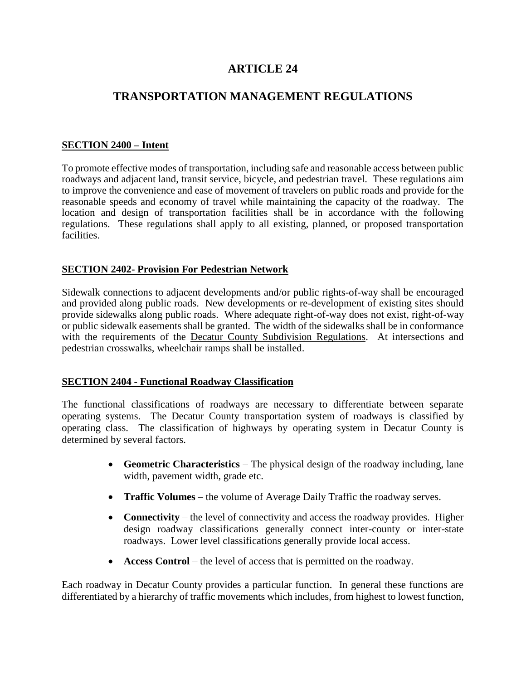# **ARTICLE 24**

# **TRANSPORTATION MANAGEMENT REGULATIONS**

### **SECTION 2400 – Intent**

To promote effective modes of transportation, including safe and reasonable access between public roadways and adjacent land, transit service, bicycle, and pedestrian travel. These regulations aim to improve the convenience and ease of movement of travelers on public roads and provide for the reasonable speeds and economy of travel while maintaining the capacity of the roadway. The location and design of transportation facilities shall be in accordance with the following regulations. These regulations shall apply to all existing, planned, or proposed transportation facilities.

### **SECTION 2402- Provision For Pedestrian Network**

Sidewalk connections to adjacent developments and/or public rights-of-way shall be encouraged and provided along public roads. New developments or re-development of existing sites should provide sidewalks along public roads. Where adequate right-of-way does not exist, right-of-way or public sidewalk easements shall be granted. The width of the sidewalks shall be in conformance with the requirements of the Decatur County Subdivision Regulations. At intersections and pedestrian crosswalks, wheelchair ramps shall be installed.

### **SECTION 2404 - Functional Roadway Classification**

The functional classifications of roadways are necessary to differentiate between separate operating systems. The Decatur County transportation system of roadways is classified by operating class. The classification of highways by operating system in Decatur County is determined by several factors.

- **Geometric Characteristics** The physical design of the roadway including, lane width, pavement width, grade etc.
- **Traffic Volumes** the volume of Average Daily Traffic the roadway serves.
- **Connectivity** the level of connectivity and access the roadway provides. Higher design roadway classifications generally connect inter-county or inter-state roadways. Lower level classifications generally provide local access.
- **Access Control** the level of access that is permitted on the roadway.

Each roadway in Decatur County provides a particular function. In general these functions are differentiated by a hierarchy of traffic movements which includes, from highest to lowest function,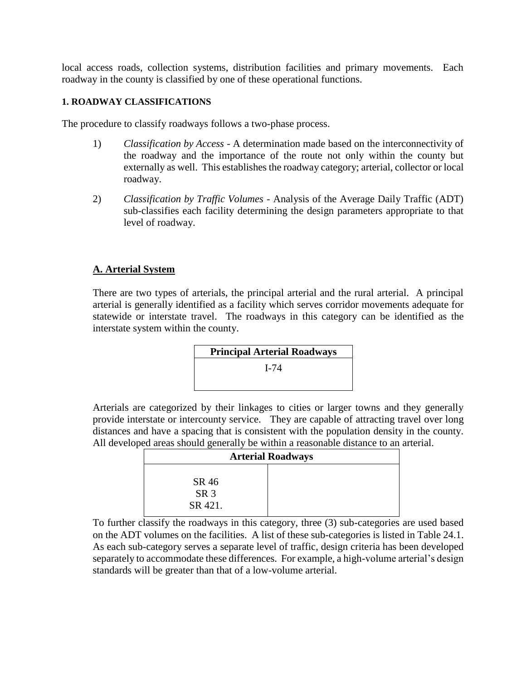local access roads, collection systems, distribution facilities and primary movements. Each roadway in the county is classified by one of these operational functions.

### **1. ROADWAY CLASSIFICATIONS**

The procedure to classify roadways follows a two-phase process.

- 1) *Classification by Access*  A determination made based on the interconnectivity of the roadway and the importance of the route not only within the county but externally as well. This establishes the roadway category; arterial, collector or local roadway.
- 2) *Classification by Traffic Volumes* Analysis of the Average Daily Traffic (ADT) sub-classifies each facility determining the design parameters appropriate to that level of roadway.

### **A. Arterial System**

There are two types of arterials, the principal arterial and the rural arterial. A principal arterial is generally identified as a facility which serves corridor movements adequate for statewide or interstate travel. The roadways in this category can be identified as the interstate system within the county.



Arterials are categorized by their linkages to cities or larger towns and they generally provide interstate or intercounty service. They are capable of attracting travel over long distances and have a spacing that is consistent with the population density in the county. All developed areas should generally be within a reasonable distance to an arterial.

| <b>Arterial Roadways</b>            |  |  |  |  |
|-------------------------------------|--|--|--|--|
| SR 46<br>SR <sub>3</sub><br>SR 421. |  |  |  |  |

To further classify the roadways in this category, three (3) sub-categories are used based on the ADT volumes on the facilities. A list of these sub-categories is listed in Table 24.1. As each sub-category serves a separate level of traffic, design criteria has been developed separately to accommodate these differences. For example, a high-volume arterial's design standards will be greater than that of a low-volume arterial.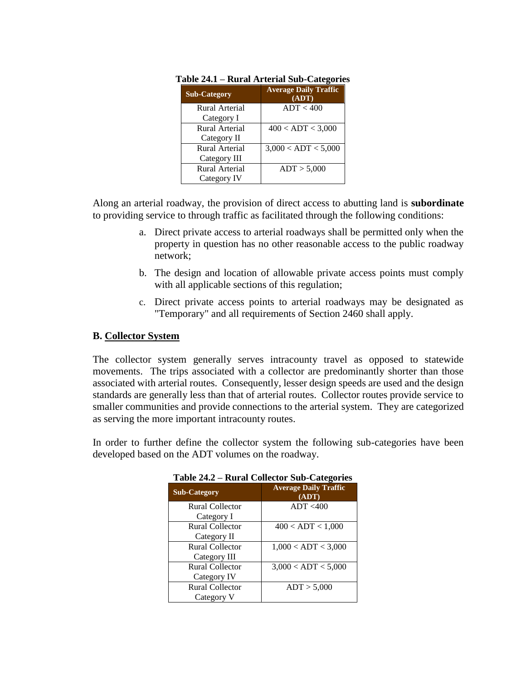| <b>Sub-Category</b> | <b>Average Daily Traffic</b><br>(ADT) |
|---------------------|---------------------------------------|
| Rural Arterial      | ADT < 400                             |
| Category I          |                                       |
| Rural Arterial      | 400 < ADT < 3,000                     |
| Category II         |                                       |
| Rural Arterial      | 3,000 < ADT < 5,000                   |
| Category III        |                                       |
| Rural Arterial      | ADT > 5,000                           |
| Category IV         |                                       |

|  | Table 24.1 - Rural Arterial Sub-Categories |  |  |
|--|--------------------------------------------|--|--|
|  |                                            |  |  |

Along an arterial roadway, the provision of direct access to abutting land is **subordinate**  to providing service to through traffic as facilitated through the following conditions:

- a. Direct private access to arterial roadways shall be permitted only when the property in question has no other reasonable access to the public roadway network;
- b. The design and location of allowable private access points must comply with all applicable sections of this regulation;
- c. Direct private access points to arterial roadways may be designated as "Temporary" and all requirements of Section 2460 shall apply.

# **B. Collector System**

The collector system generally serves intracounty travel as opposed to statewide movements. The trips associated with a collector are predominantly shorter than those associated with arterial routes. Consequently, lesser design speeds are used and the design standards are generally less than that of arterial routes. Collector routes provide service to smaller communities and provide connections to the arterial system. They are categorized as serving the more important intracounty routes.

In order to further define the collector system the following sub-categories have been developed based on the ADT volumes on the roadway.

| <b>Sub-Category</b> | <b>Average Daily Traffic</b><br>(ADT) |
|---------------------|---------------------------------------|
| Rural Collector     | ADT < 400                             |
| Category I          |                                       |
| Rural Collector     | 400 < ADT < 1,000                     |
| Category II         |                                       |
| Rural Collector     | 1,000 < ADT < 3,000                   |
| Category III        |                                       |
| Rural Collector     | 3,000 < ADT < 5,000                   |
| Category IV         |                                       |
| Rural Collector     | ADT > 5,000                           |
| Category V          |                                       |

### **Table 24.2 – Rural Collector Sub-Categories**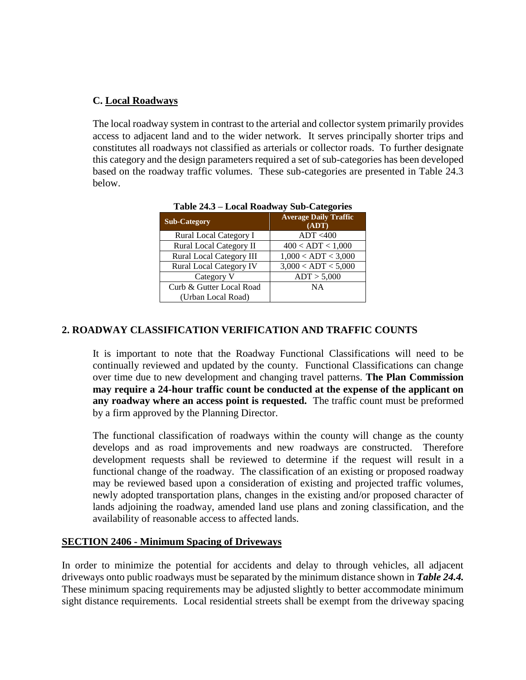### **C. Local Roadways**

The local roadway system in contrast to the arterial and collector system primarily provides access to adjacent land and to the wider network. It serves principally shorter trips and constitutes all roadways not classified as arterials or collector roads. To further designate this category and the design parameters required a set of sub-categories has been developed based on the roadway traffic volumes. These sub-categories are presented in Table 24.3 below.

| <b>Sub-Category</b>             | <b>Average Daily Traffic</b><br>(ADT) |
|---------------------------------|---------------------------------------|
| Rural Local Category I          | ADT < 400                             |
| <b>Rural Local Category II</b>  | 400 < ADT < 1,000                     |
| <b>Rural Local Category III</b> | 1,000 < ADT < 3,000                   |
| <b>Rural Local Category IV</b>  | 3,000 < ADT < 5,000                   |
| Category V                      | ADT > 5,000                           |
| Curb & Gutter Local Road        | NA                                    |
| (Urban Local Road)              |                                       |

**Table 24.3 – Local Roadway Sub-Categories**

### **2. ROADWAY CLASSIFICATION VERIFICATION AND TRAFFIC COUNTS**

It is important to note that the Roadway Functional Classifications will need to be continually reviewed and updated by the county. Functional Classifications can change over time due to new development and changing travel patterns. **The Plan Commission may require a 24-hour traffic count be conducted at the expense of the applicant on any roadway where an access point is requested.** The traffic count must be preformed by a firm approved by the Planning Director.

The functional classification of roadways within the county will change as the county develops and as road improvements and new roadways are constructed. Therefore development requests shall be reviewed to determine if the request will result in a functional change of the roadway. The classification of an existing or proposed roadway may be reviewed based upon a consideration of existing and projected traffic volumes, newly adopted transportation plans, changes in the existing and/or proposed character of lands adjoining the roadway, amended land use plans and zoning classification, and the availability of reasonable access to affected lands.

### **SECTION 2406 - Minimum Spacing of Driveways**

In order to minimize the potential for accidents and delay to through vehicles, all adjacent driveways onto public roadways must be separated by the minimum distance shown in *Table 24.4.* These minimum spacing requirements may be adjusted slightly to better accommodate minimum sight distance requirements. Local residential streets shall be exempt from the driveway spacing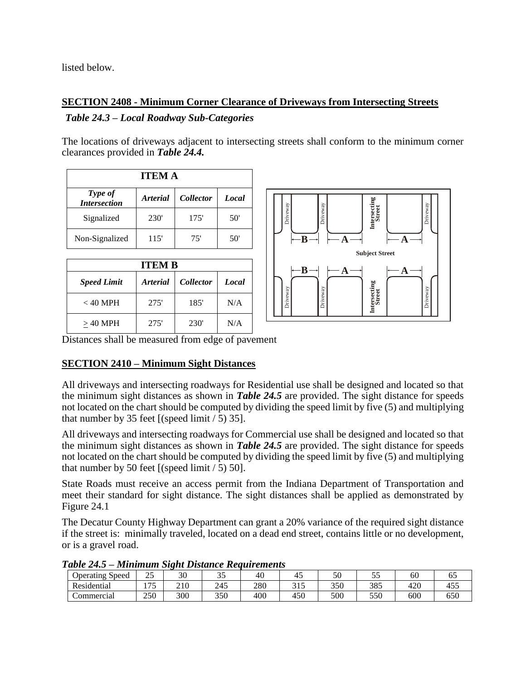listed below.

# **SECTION 2408 - Minimum Corner Clearance of Driveways from Intersecting Streets**

# *Table 24.3 – Local Roadway Sub-Categories*

The locations of driveways adjacent to intersecting streets shall conform to the minimum corner clearances provided in *Table 24.4.*

| <b>ITEM A</b>                  |                        |                  |       |  |  |
|--------------------------------|------------------------|------------------|-------|--|--|
| Type of<br><b>Intersection</b> | <i><b>Arterial</b></i> | <b>Collector</b> | Local |  |  |
| Signalized                     | 230 <sup>'</sup>       | 175'             | 50'   |  |  |
| Non-Signalized                 | 115'                   | 75'              | 50'   |  |  |

| <b>ITEM B</b>      |                                            |                  |     |  |  |
|--------------------|--------------------------------------------|------------------|-----|--|--|
| <b>Speed Limit</b> | <i>Collector</i><br><i><b>Arterial</b></i> |                  |     |  |  |
| $<$ 40 MPH         | 275'                                       | 185'             | N/A |  |  |
| $>40$ MPH          | 275'                                       | 230 <sup>'</sup> | N/A |  |  |



Distances shall be measured from edge of pavement

# **SECTION 2410 – Minimum Sight Distances**

All driveways and intersecting roadways for Residential use shall be designed and located so that the minimum sight distances as shown in *Table 24.5* are provided. The sight distance for speeds not located on the chart should be computed by dividing the speed limit by five (5) and multiplying that number by 35 feet  $[(speed limit / 5) 35]$ .

All driveways and intersecting roadways for Commercial use shall be designed and located so that the minimum sight distances as shown in *Table 24.5* are provided. The sight distance for speeds not located on the chart should be computed by dividing the speed limit by five (5) and multiplying that number by 50 feet  $[(speed limit / 5) 50]$ .

State Roads must receive an access permit from the Indiana Department of Transportation and meet their standard for sight distance. The sight distances shall be applied as demonstrated by Figure 24.1

The Decatur County Highway Department can grant a 20% variance of the required sight distance if the street is: minimally traveled, located on a dead end street, contains little or no development, or is a gravel road.

Operating Speed 25 30 35 40 45 50 55 60 65 Residential | 175 | 210 | 245 | 280 | 315 | 350 | 385 | 420 | 455 Commercial 250 300 350 400 450 500 550 600 550

*Table 24.5 – Minimum Sight Distance Requirements*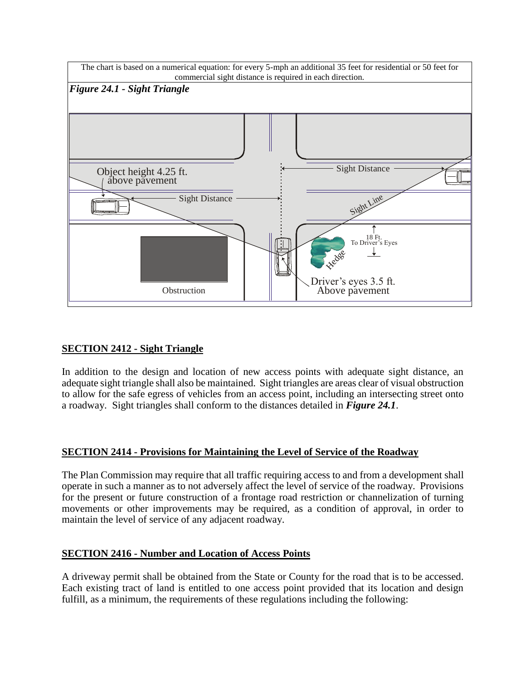

# **SECTION 2412 - Sight Triangle**

In addition to the design and location of new access points with adequate sight distance, an adequate sight triangle shall also be maintained. Sight triangles are areas clear of visual obstruction to allow for the safe egress of vehicles from an access point, including an intersecting street onto a roadway. Sight triangles shall conform to the distances detailed in *Figure 24.1*.

# **SECTION 2414 - Provisions for Maintaining the Level of Service of the Roadway**

The Plan Commission may require that all traffic requiring access to and from a development shall operate in such a manner as to not adversely affect the level of service of the roadway. Provisions for the present or future construction of a frontage road restriction or channelization of turning movements or other improvements may be required, as a condition of approval, in order to maintain the level of service of any adjacent roadway.

# **SECTION 2416 - Number and Location of Access Points**

A driveway permit shall be obtained from the State or County for the road that is to be accessed. Each existing tract of land is entitled to one access point provided that its location and design fulfill, as a minimum, the requirements of these regulations including the following: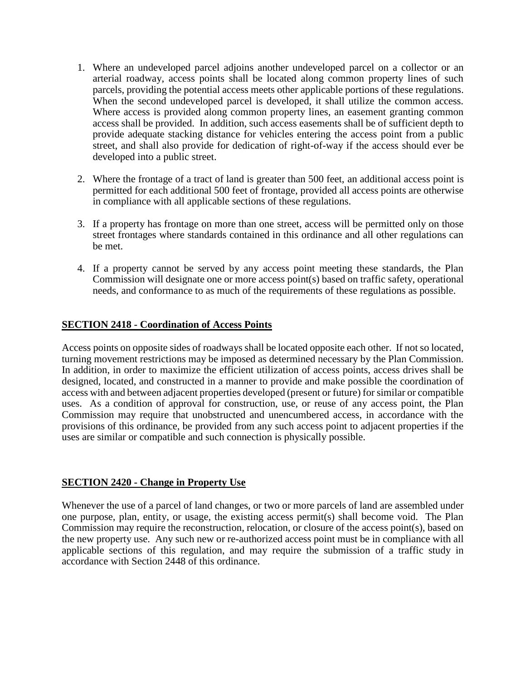- 1. Where an undeveloped parcel adjoins another undeveloped parcel on a collector or an arterial roadway, access points shall be located along common property lines of such parcels, providing the potential access meets other applicable portions of these regulations. When the second undeveloped parcel is developed, it shall utilize the common access. Where access is provided along common property lines, an easement granting common access shall be provided. In addition, such access easements shall be of sufficient depth to provide adequate stacking distance for vehicles entering the access point from a public street, and shall also provide for dedication of right-of-way if the access should ever be developed into a public street.
- 2. Where the frontage of a tract of land is greater than 500 feet, an additional access point is permitted for each additional 500 feet of frontage, provided all access points are otherwise in compliance with all applicable sections of these regulations.
- 3. If a property has frontage on more than one street, access will be permitted only on those street frontages where standards contained in this ordinance and all other regulations can be met.
- 4. If a property cannot be served by any access point meeting these standards, the Plan Commission will designate one or more access point(s) based on traffic safety, operational needs, and conformance to as much of the requirements of these regulations as possible.

### **SECTION 2418 - Coordination of Access Points**

Access points on opposite sides of roadways shall be located opposite each other. If not so located, turning movement restrictions may be imposed as determined necessary by the Plan Commission. In addition, in order to maximize the efficient utilization of access points, access drives shall be designed, located, and constructed in a manner to provide and make possible the coordination of access with and between adjacent properties developed (present or future) for similar or compatible uses. As a condition of approval for construction, use, or reuse of any access point, the Plan Commission may require that unobstructed and unencumbered access, in accordance with the provisions of this ordinance, be provided from any such access point to adjacent properties if the uses are similar or compatible and such connection is physically possible.

### **SECTION 2420 - Change in Property Use**

Whenever the use of a parcel of land changes, or two or more parcels of land are assembled under one purpose, plan, entity, or usage, the existing access permit(s) shall become void. The Plan Commission may require the reconstruction, relocation, or closure of the access point(s), based on the new property use. Any such new or re-authorized access point must be in compliance with all applicable sections of this regulation, and may require the submission of a traffic study in accordance with Section 2448 of this ordinance.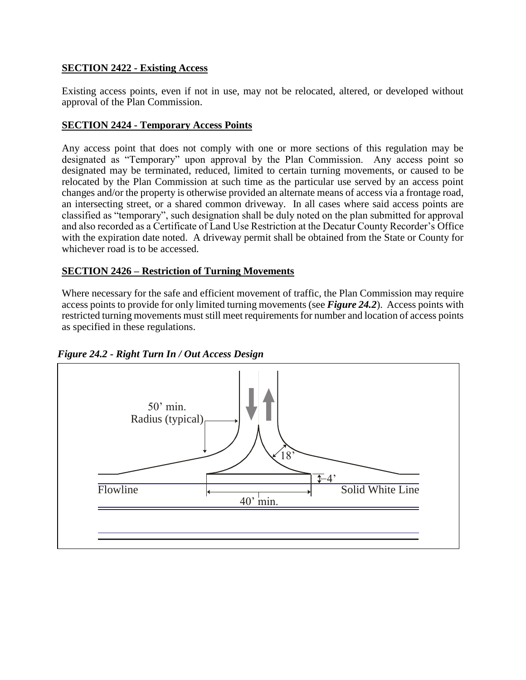# **SECTION 2422 - Existing Access**

Existing access points, even if not in use, may not be relocated, altered, or developed without approval of the Plan Commission.

### **SECTION 2424 - Temporary Access Points**

Any access point that does not comply with one or more sections of this regulation may be designated as "Temporary" upon approval by the Plan Commission. Any access point so designated may be terminated, reduced, limited to certain turning movements, or caused to be relocated by the Plan Commission at such time as the particular use served by an access point changes and/or the property is otherwise provided an alternate means of access via a frontage road, an intersecting street, or a shared common driveway. In all cases where said access points are classified as "temporary", such designation shall be duly noted on the plan submitted for approval and also recorded as a Certificate of Land Use Restriction at the Decatur County Recorder's Office with the expiration date noted. A driveway permit shall be obtained from the State or County for whichever road is to be accessed.

# **SECTION 2426 – Restriction of Turning Movements**

Where necessary for the safe and efficient movement of traffic, the Plan Commission may require access points to provide for only limited turning movements (see *Figure 24.2*). Access points with restricted turning movements must still meet requirements for number and location of access points as specified in these regulations.



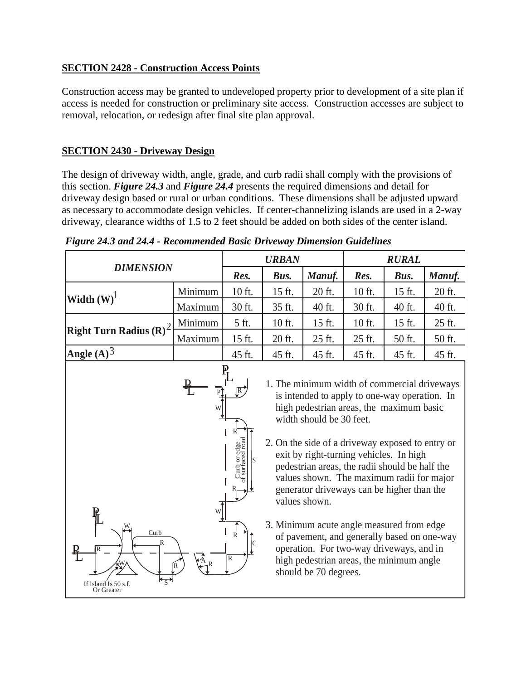# **SECTION 2428 - Construction Access Points**

Construction access may be granted to undeveloped property prior to development of a site plan if access is needed for construction or preliminary site access. Construction accesses are subject to removal, relocation, or redesign after final site plan approval.

# **SECTION 2430 - Driveway Design**

The design of driveway width, angle, grade, and curb radii shall comply with the provisions of this section. *Figure 24.3* and *Figure 24.4* presents the required dimensions and detail for driveway design based or rural or urban conditions. These dimensions shall be adjusted upward as necessary to accommodate design vehicles. If center-channelizing islands are used in a 2-way driveway, clearance widths of 1.5 to 2 feet should be added on both sides of the center island.

Τ

٦

| <b>DIMENSION</b>                                               |         | <b>URBAN</b>                                                                                                                                                                                                                                                                                                                                                                                                                                                                                                                                                                                                                                    |        | <b>RURAL</b> |        |        |        |
|----------------------------------------------------------------|---------|-------------------------------------------------------------------------------------------------------------------------------------------------------------------------------------------------------------------------------------------------------------------------------------------------------------------------------------------------------------------------------------------------------------------------------------------------------------------------------------------------------------------------------------------------------------------------------------------------------------------------------------------------|--------|--------------|--------|--------|--------|
|                                                                |         | Res.                                                                                                                                                                                                                                                                                                                                                                                                                                                                                                                                                                                                                                            | Bus.   | Manuf.       | Res.   | Bus.   | Manuf. |
| Width $(W)^{1}$                                                | Minimum | 10 ft.                                                                                                                                                                                                                                                                                                                                                                                                                                                                                                                                                                                                                                          | 15 ft. | 20 ft.       | 10 ft. | 15 ft. | 20 ft. |
|                                                                | Maximum | 30 ft.                                                                                                                                                                                                                                                                                                                                                                                                                                                                                                                                                                                                                                          | 35 ft. | 40 ft.       | 30 ft. | 40 ft. | 40 ft. |
| <b>Right Turn Radius</b> $(\mathbf{R})^2$                      | Minimum | 5 ft.                                                                                                                                                                                                                                                                                                                                                                                                                                                                                                                                                                                                                                           | 10 ft. | 15 ft.       | 10 ft. | 15 ft. | 25 ft. |
|                                                                | Maximum | 15 ft.                                                                                                                                                                                                                                                                                                                                                                                                                                                                                                                                                                                                                                          | 20 ft. | 25 ft.       | 25 ft. | 50 ft. | 50 ft. |
| Angle $(A)^3$                                                  |         | 45 ft.                                                                                                                                                                                                                                                                                                                                                                                                                                                                                                                                                                                                                                          | 45 ft. | 45 ft.       | 45 ft. | 45 ft. | 45 ft. |
| Ж<br>Curb<br>R<br>R<br>Ł<br>If Island Is 50 s.f.<br>Or Greater |         | 1. The minimum width of commercial driveways<br>is intended to apply to one-way operation. In<br>high pedestrian areas, the maximum basic<br>width should be 30 feet.<br>2. On the side of a driveway exposed to entry or<br>exit by right-turning vehicles. In high<br>pedestrian areas, the radii should be half the<br>values shown. The maximum radii for major<br>generator driveways can be higher than the<br>values shown.<br>3. Minimum acute angle measured from edge<br>of pavement, and generally based on one-way<br>operation. For two-way driveways, and in<br>high pedestrian areas, the minimum angle<br>should be 70 degrees. |        |              |        |        |        |

*Figure 24.3 and 24.4 - Recommended Basic Driveway Dimension Guidelines* 

 $\overline{\phantom{a}}$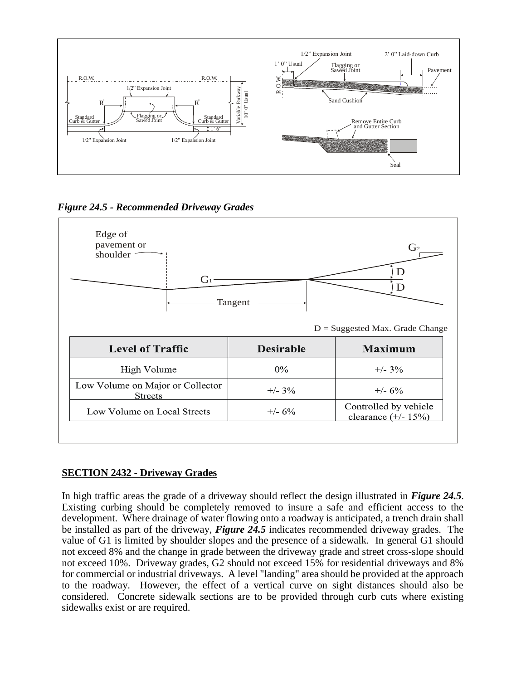

*Figure 24.5 - Recommended Driveway Grades*



# **SECTION 2432 - Driveway Grades**

In high traffic areas the grade of a driveway should reflect the design illustrated in *Figure 24.5*. Existing curbing should be completely removed to insure a safe and efficient access to the development. Where drainage of water flowing onto a roadway is anticipated, a trench drain shall be installed as part of the driveway, *Figure 24.5* indicates recommended driveway grades. The value of G1 is limited by shoulder slopes and the presence of a sidewalk. In general G1 should not exceed 8% and the change in grade between the driveway grade and street cross-slope should not exceed 10%. Driveway grades, G2 should not exceed 15% for residential driveways and 8% for commercial or industrial driveways. A level "landing" area should be provided at the approach to the roadway. However, the effect of a vertical curve on sight distances should also be considered. Concrete sidewalk sections are to be provided through curb cuts where existing sidewalks exist or are required.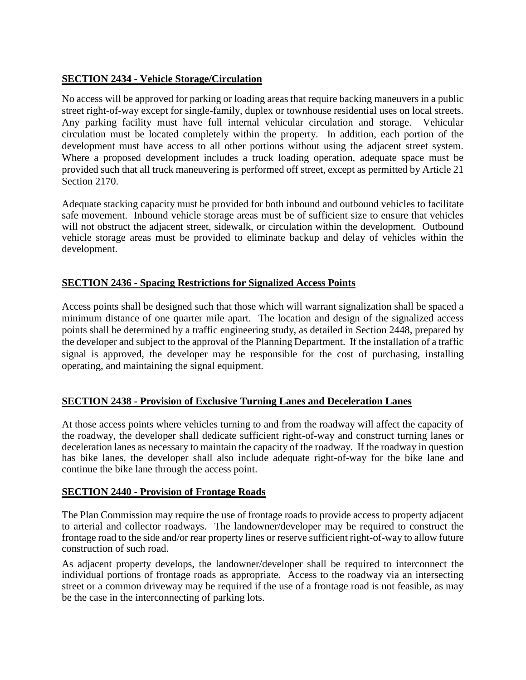# **SECTION 2434 - Vehicle Storage/Circulation**

No access will be approved for parking or loading areas that require backing maneuvers in a public street right-of-way except for single-family, duplex or townhouse residential uses on local streets. Any parking facility must have full internal vehicular circulation and storage. Vehicular circulation must be located completely within the property. In addition, each portion of the development must have access to all other portions without using the adjacent street system. Where a proposed development includes a truck loading operation, adequate space must be provided such that all truck maneuvering is performed off street, except as permitted by Article 21 Section 2170.

Adequate stacking capacity must be provided for both inbound and outbound vehicles to facilitate safe movement. Inbound vehicle storage areas must be of sufficient size to ensure that vehicles will not obstruct the adjacent street, sidewalk, or circulation within the development. Outbound vehicle storage areas must be provided to eliminate backup and delay of vehicles within the development.

# **SECTION 2436 - Spacing Restrictions for Signalized Access Points**

Access points shall be designed such that those which will warrant signalization shall be spaced a minimum distance of one quarter mile apart. The location and design of the signalized access points shall be determined by a traffic engineering study, as detailed in Section 2448, prepared by the developer and subject to the approval of the Planning Department. If the installation of a traffic signal is approved, the developer may be responsible for the cost of purchasing, installing operating, and maintaining the signal equipment.

# **SECTION 2438 - Provision of Exclusive Turning Lanes and Deceleration Lanes**

At those access points where vehicles turning to and from the roadway will affect the capacity of the roadway, the developer shall dedicate sufficient right-of-way and construct turning lanes or deceleration lanes as necessary to maintain the capacity of the roadway. If the roadway in question has bike lanes, the developer shall also include adequate right-of-way for the bike lane and continue the bike lane through the access point.

# **SECTION 2440 - Provision of Frontage Roads**

The Plan Commission may require the use of frontage roads to provide access to property adjacent to arterial and collector roadways. The landowner/developer may be required to construct the frontage road to the side and/or rear property lines or reserve sufficient right-of-way to allow future construction of such road.

As adjacent property develops, the landowner/developer shall be required to interconnect the individual portions of frontage roads as appropriate. Access to the roadway via an intersecting street or a common driveway may be required if the use of a frontage road is not feasible, as may be the case in the interconnecting of parking lots.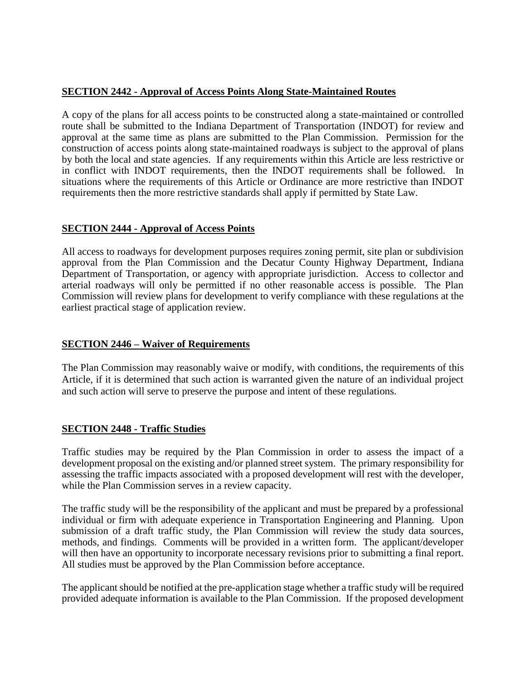# **SECTION 2442 - Approval of Access Points Along State-Maintained Routes**

A copy of the plans for all access points to be constructed along a state-maintained or controlled route shall be submitted to the Indiana Department of Transportation (INDOT) for review and approval at the same time as plans are submitted to the Plan Commission. Permission for the construction of access points along state-maintained roadways is subject to the approval of plans by both the local and state agencies. If any requirements within this Article are less restrictive or in conflict with INDOT requirements, then the INDOT requirements shall be followed. In situations where the requirements of this Article or Ordinance are more restrictive than INDOT requirements then the more restrictive standards shall apply if permitted by State Law.

# **SECTION 2444 - Approval of Access Points**

All access to roadways for development purposes requires zoning permit, site plan or subdivision approval from the Plan Commission and the Decatur County Highway Department, Indiana Department of Transportation, or agency with appropriate jurisdiction. Access to collector and arterial roadways will only be permitted if no other reasonable access is possible. The Plan Commission will review plans for development to verify compliance with these regulations at the earliest practical stage of application review.

# **SECTION 2446 – Waiver of Requirements**

The Plan Commission may reasonably waive or modify, with conditions, the requirements of this Article, if it is determined that such action is warranted given the nature of an individual project and such action will serve to preserve the purpose and intent of these regulations.

### **SECTION 2448 - Traffic Studies**

Traffic studies may be required by the Plan Commission in order to assess the impact of a development proposal on the existing and/or planned street system. The primary responsibility for assessing the traffic impacts associated with a proposed development will rest with the developer, while the Plan Commission serves in a review capacity.

The traffic study will be the responsibility of the applicant and must be prepared by a professional individual or firm with adequate experience in Transportation Engineering and Planning. Upon submission of a draft traffic study, the Plan Commission will review the study data sources, methods, and findings. Comments will be provided in a written form. The applicant/developer will then have an opportunity to incorporate necessary revisions prior to submitting a final report. All studies must be approved by the Plan Commission before acceptance.

The applicant should be notified at the pre-application stage whether a traffic study will be required provided adequate information is available to the Plan Commission. If the proposed development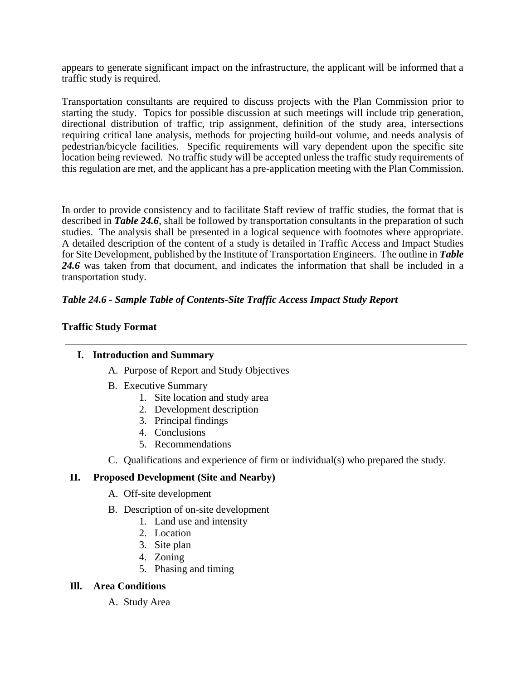appears to generate significant impact on the infrastructure, the applicant will be informed that a traffic study is required.

Transportation consultants are required to discuss projects with the Plan Commission prior to starting the study. Topics for possible discussion at such meetings will include trip generation, directional distribution of traffic, trip assignment, definition of the study area, intersections requiring critical lane analysis, methods for projecting build-out volume, and needs analysis of pedestrian/bicycle facilities. Specific requirements will vary dependent upon the specific site location being reviewed. No traffic study will be accepted unless the traffic study requirements of this regulation are met, and the applicant has a pre-application meeting with the Plan Commission.

In order to provide consistency and to facilitate Staff review of traffic studies, the format that is described in *Table 24.6*, shall be followed by transportation consultants in the preparation of such studies. The analysis shall be presented in a logical sequence with footnotes where appropriate. A detailed description of the content of a study is detailed in Traffic Access and Impact Studies for Site Development, published by the Institute of Transportation Engineers. The outline in *Table 24.6* was taken from that document, and indicates the information that shall be included in a transportation study.

# *Table 24.6 - Sample Table of Contents-Site Traffic Access Impact Study Report*

### **Traffic Study Format**

### **I. Introduction and Summary**

- A. Purpose of Report and Study Objectives
- B. Executive Summary
	- 1. Site location and study area
	- 2. Development description
	- 3. Principal findings
	- 4. Conclusions
	- 5. Recommendations
- C. Qualifications and experience of firm or individual(s) who prepared the study.

# **II. Proposed Development (Site and Nearby)**

- A. Off-site development
- B. Description of on-site development
	- 1. Land use and intensity
	- 2. Location
	- 3. Site plan
	- 4. Zoning
	- 5. Phasing and timing

### **Ill. Area Conditions**

A. Study Area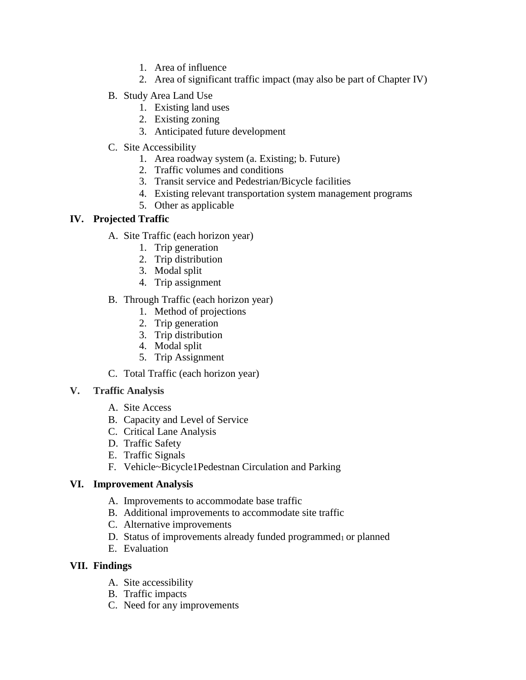- 1. Area of influence
- 2. Area of significant traffic impact (may also be part of Chapter IV)
- B. Study Area Land Use
	- 1. Existing land uses
	- 2. Existing zoning
	- 3. Anticipated future development
- C. Site Accessibility
	- 1. Area roadway system (a. Existing; b. Future)
	- 2. Traffic volumes and conditions
	- 3. Transit service and Pedestrian/Bicycle facilities
	- 4. Existing relevant transportation system management programs
	- 5. Other as applicable

# **IV. Projected Traffic**

- A. Site Traffic (each horizon year)
	- 1. Trip generation
	- 2. Trip distribution
	- 3. Modal split
	- 4. Trip assignment
- B. Through Traffic (each horizon year)
	- 1. Method of projections
	- 2. Trip generation
	- 3. Trip distribution
	- 4. Modal split
	- 5. Trip Assignment
- C. Total Traffic (each horizon year)

# **V. Traffic Analysis**

- A. Site Access
- B. Capacity and Level of Service
- C. Critical Lane Analysis
- D. Traffic Safety
- E. Traffic Signals
- F. Vehicle~Bicycle1Pedestnan Circulation and Parking

# **VI. Improvement Analysis**

- A. Improvements to accommodate base traffic
- B. Additional improvements to accommodate site traffic
- C. Alternative improvements
- D. Status of improvements already funded programmed $<sub>1</sub>$  or planned</sub>
- E. Evaluation

# **VII. Findings**

- A. Site accessibility
- B. Traffic impacts
- C. Need for any improvements